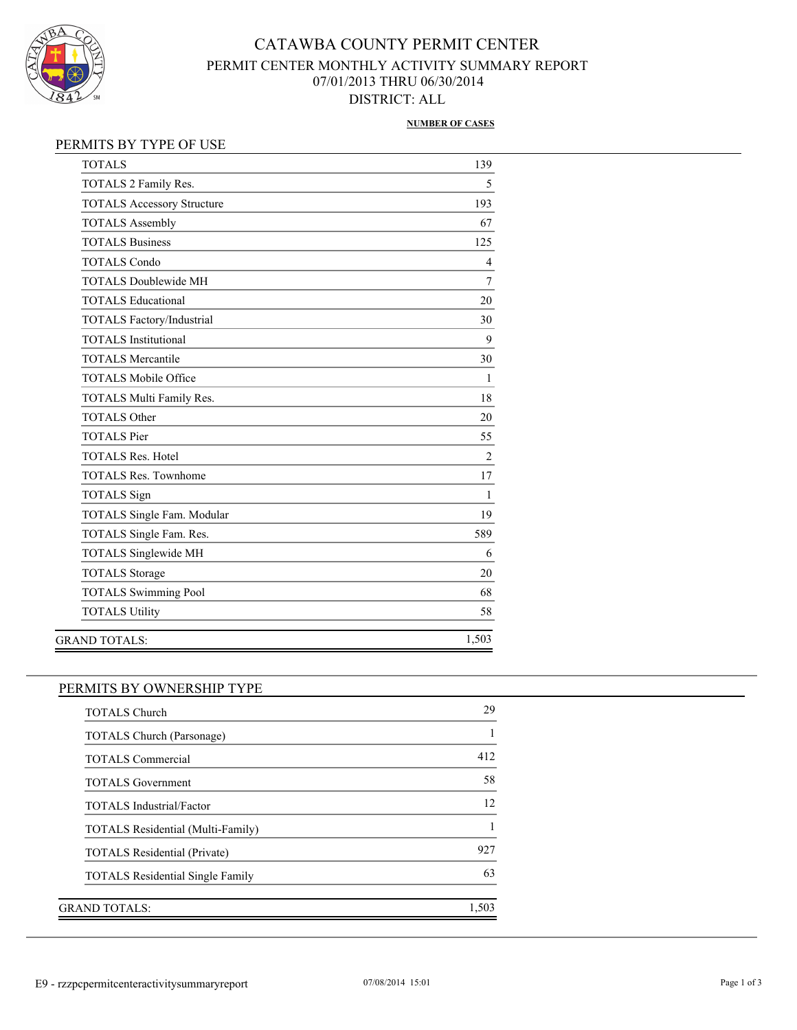

## CATAWBA COUNTY PERMIT CENTER PERMIT CENTER MONTHLY ACTIVITY SUMMARY REPORT 07/01/2013 THRU 06/30/2014 DISTRICT: ALL

#### **NUMBER OF CASES**

| <b>TOTALS</b>                     | 139            |
|-----------------------------------|----------------|
| TOTALS 2 Family Res.              | 5              |
| <b>TOTALS Accessory Structure</b> | 193            |
| <b>TOTALS Assembly</b>            | 67             |
| <b>TOTALS Business</b>            | 125            |
| <b>TOTALS Condo</b>               | $\overline{4}$ |
| <b>TOTALS Doublewide MH</b>       | 7              |
| <b>TOTALS Educational</b>         | 20             |
| <b>TOTALS Factory/Industrial</b>  | 30             |
| <b>TOTALS</b> Institutional       | 9              |
| <b>TOTALS Mercantile</b>          | 30             |
| <b>TOTALS Mobile Office</b>       | 1              |
| TOTALS Multi Family Res.          | 18             |
| <b>TOTALS Other</b>               | 20             |
| <b>TOTALS</b> Pier                | 55             |
| <b>TOTALS Res. Hotel</b>          | $\overline{c}$ |
| <b>TOTALS Res. Townhome</b>       | 17             |
| <b>TOTALS</b> Sign                | 1              |
| TOTALS Single Fam. Modular        | 19             |
| TOTALS Single Fam. Res.           | 589            |
| <b>TOTALS Singlewide MH</b>       | 6              |
| <b>TOTALS Storage</b>             | 20             |
| <b>TOTALS Swimming Pool</b>       | 68             |
| <b>TOTALS Utility</b>             | 58             |
| <b>GRAND TOTALS:</b>              | 1,503          |
|                                   |                |

#### PERMITS BY OWNERSHIP TYPE

| <b>TOTALS Church</b>                    | 29    |
|-----------------------------------------|-------|
| <b>TOTALS Church (Parsonage)</b>        |       |
| <b>TOTALS Commercial</b>                | 412   |
| <b>TOTALS</b> Government                | 58    |
| <b>TOTALS</b> Industrial/Factor         | 12    |
| TOTALS Residential (Multi-Family)       |       |
| <b>TOTALS Residential (Private)</b>     | 927   |
| <b>TOTALS Residential Single Family</b> | 63    |
|                                         |       |
| GRAND TOTALS:                           | 1.503 |
|                                         |       |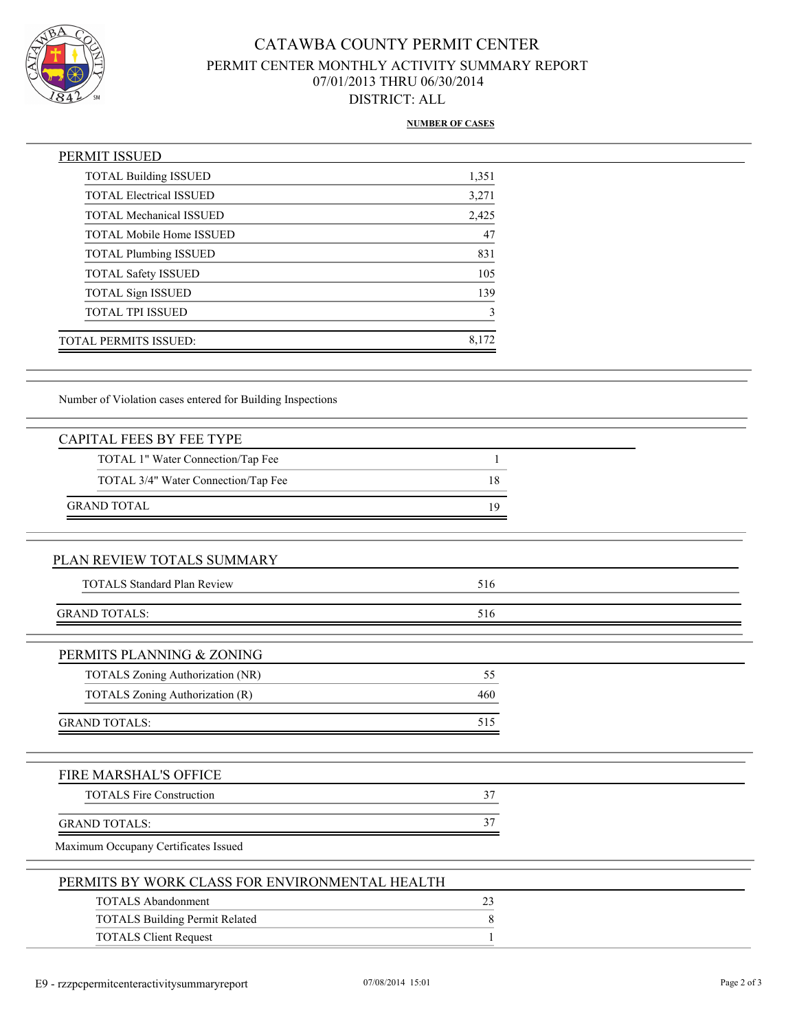

## CATAWBA COUNTY PERMIT CENTER PERMIT CENTER MONTHLY ACTIVITY SUMMARY REPORT 07/01/2013 THRU 06/30/2014 DISTRICT: ALL

#### **NUMBER OF CASES**

| PERMIT ISSUED                   |       |
|---------------------------------|-------|
| <b>TOTAL Building ISSUED</b>    | 1,351 |
| <b>TOTAL Electrical ISSUED</b>  | 3,271 |
| <b>TOTAL Mechanical ISSUED</b>  | 2,425 |
| <b>TOTAL Mobile Home ISSUED</b> | 47    |
| <b>TOTAL Plumbing ISSUED</b>    | 831   |
| <b>TOTAL Safety ISSUED</b>      | 105   |
| <b>TOTAL Sign ISSUED</b>        | 139   |
| <b>TOTAL TPI ISSUED</b>         | 3     |
| TOTAL PERMITS ISSUED:           | 8.172 |
|                                 |       |

Number of Violation cases entered for Building Inspections

| <b>CAPITAL FEES BY FEE TYPE</b>                |     |  |
|------------------------------------------------|-----|--|
| TOTAL 1" Water Connection/Tap Fee              | 1   |  |
| TOTAL 3/4" Water Connection/Tap Fee            | 18  |  |
| <b>GRAND TOTAL</b>                             | 19  |  |
|                                                |     |  |
| PLAN REVIEW TOTALS SUMMARY                     |     |  |
| <b>TOTALS Standard Plan Review</b>             | 516 |  |
| <b>GRAND TOTALS:</b>                           | 516 |  |
| PERMITS PLANNING & ZONING                      |     |  |
| TOTALS Zoning Authorization (NR)               | 55  |  |
| TOTALS Zoning Authorization (R)                | 460 |  |
| <b>GRAND TOTALS:</b>                           | 515 |  |
| FIRE MARSHAL'S OFFICE                          |     |  |
| <b>TOTALS Fire Construction</b>                | 37  |  |
| <b>GRAND TOTALS:</b>                           | 37  |  |
| Maximum Occupany Certificates Issued           |     |  |
| PERMITS BY WORK CLASS FOR ENVIRONMENTAL HEALTH |     |  |
| <b>TOTALS Abandonment</b>                      | 23  |  |
| <b>TOTALS Building Permit Related</b>          | 8   |  |
| <b>TOTALS Client Request</b>                   |     |  |